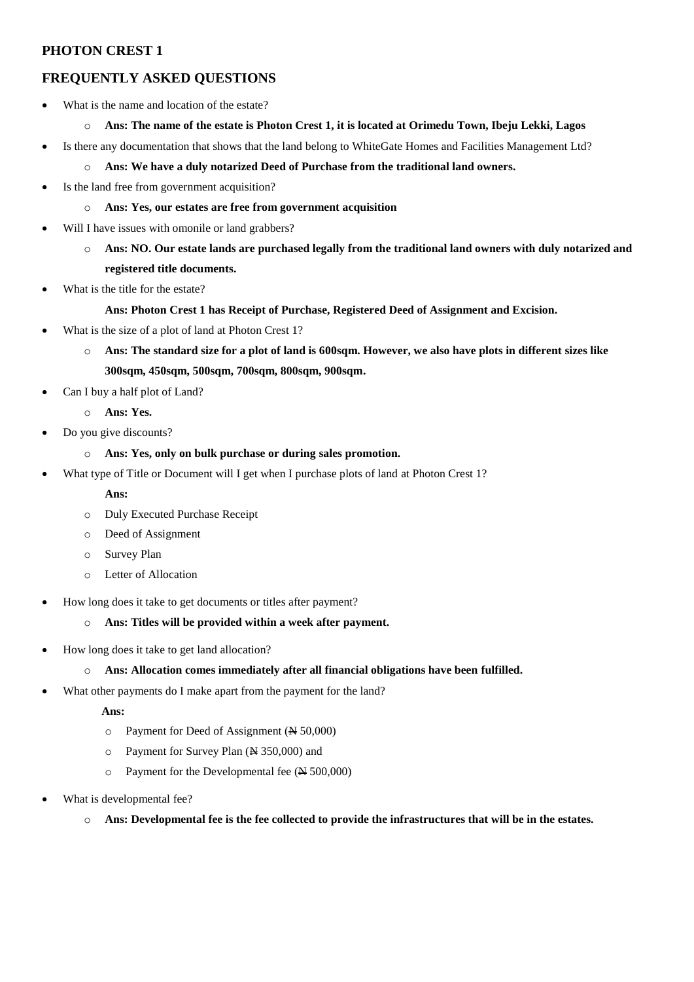## **PHOTON CREST 1**

# **FREQUENTLY ASKED QUESTIONS**

- What is the name and location of the estate?
	- o **Ans: The name of the estate is Photon Crest 1, it is located at Orimedu Town, Ibeju Lekki, Lagos**
- Is there any documentation that shows that the land belong to WhiteGate Homes and Facilities Management Ltd?
	- o **Ans: We have a duly notarized Deed of Purchase from the traditional land owners.**
- Is the land free from government acquisition?
	- o **Ans: Yes, our estates are free from government acquisition**
- Will I have issues with omonile or land grabbers?
	- o **Ans: NO. Our estate lands are purchased legally from the traditional land owners with duly notarized and registered title documents.**
- What is the title for the estate?

### **Ans: Photon Crest 1 has Receipt of Purchase, Registered Deed of Assignment and Excision.**

- What is the size of a plot of land at Photon Crest 1?
	- o **Ans: The standard size for a plot of land is 600sqm. However, we also have plots in different sizes like 300sqm, 450sqm, 500sqm, 700sqm, 800sqm, 900sqm.**
- Can I buy a half plot of Land?
	- o **Ans: Yes.**
- Do you give discounts?
	- o **Ans: Yes, only on bulk purchase or during sales promotion.**
- What type of Title or Document will I get when I purchase plots of land at Photon Crest 1?
	- **Ans:**
	- o Duly Executed Purchase Receipt
	- o Deed of Assignment
	- o Survey Plan
	- o Letter of Allocation
- How long does it take to get documents or titles after payment?
	- o **Ans: Titles will be provided within a week after payment.**
- How long does it take to get land allocation?
	- o **Ans: Allocation comes immediately after all financial obligations have been fulfilled.**
- What other payments do I make apart from the payment for the land?

#### **Ans:**

- o Payment for Deed of Assignment (N 50,000)
- o Payment for Survey Plan (N 350,000) and
- o Payment for the Developmental fee  $(\cancel{\text{N}} 500,000)$
- What is developmental fee?
	- o **Ans: Developmental fee is the fee collected to provide the infrastructures that will be in the estates.**